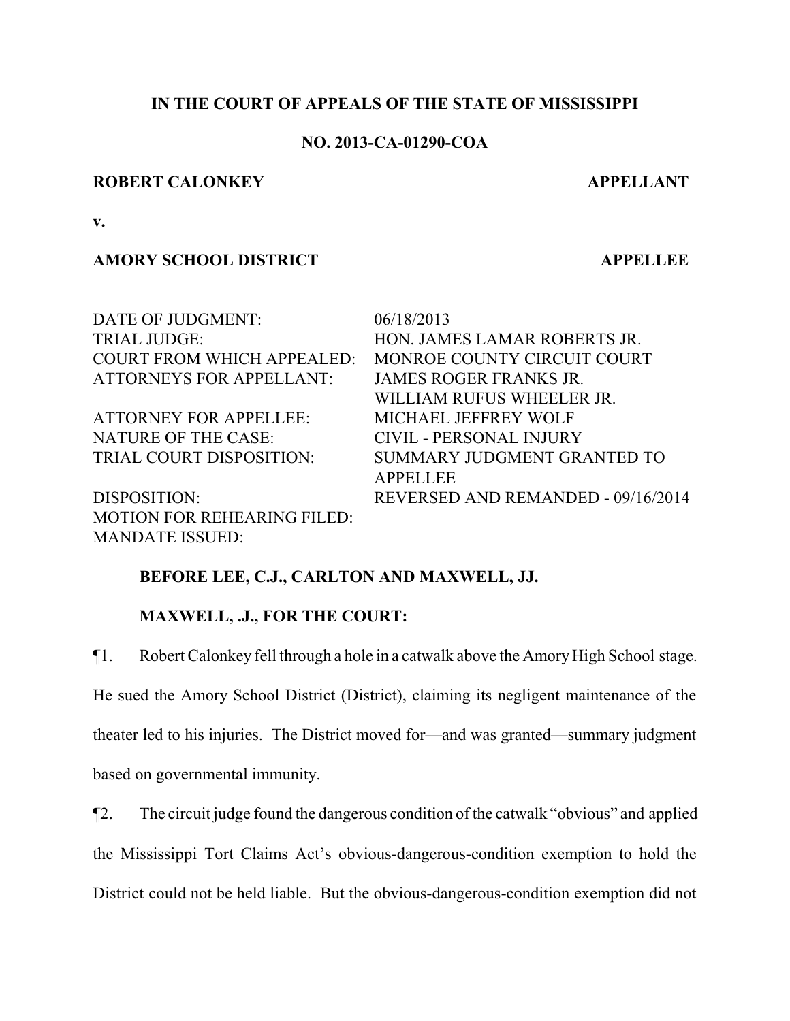# **IN THE COURT OF APPEALS OF THE STATE OF MISSISSIPPI**

## **NO. 2013-CA-01290-COA**

### **ROBERT CALONKEY APPELLANT**

**v.**

# **AMORY SCHOOL DISTRICT APPELLEE**

| DATE OF JUDGMENT:                  | 06/18/2013                         |
|------------------------------------|------------------------------------|
| <b>TRIAL JUDGE:</b>                | HON. JAMES LAMAR ROBERTS JR.       |
| <b>COURT FROM WHICH APPEALED:</b>  | MONROE COUNTY CIRCUIT COURT        |
| <b>ATTORNEYS FOR APPELLANT:</b>    | <b>JAMES ROGER FRANKS JR.</b>      |
|                                    | WILLIAM RUFUS WHEELER JR.          |
| <b>ATTORNEY FOR APPELLEE:</b>      | MICHAEL JEFFREY WOLF               |
| NATURE OF THE CASE:                | CIVIL - PERSONAL INJURY            |
| TRIAL COURT DISPOSITION:           | SUMMARY JUDGMENT GRANTED TO        |
|                                    | <b>APPELLEE</b>                    |
| DISPOSITION:                       | REVERSED AND REMANDED - 09/16/2014 |
| <b>MOTION FOR REHEARING FILED:</b> |                                    |
| <b>MANDATE ISSUED:</b>             |                                    |

# **BEFORE LEE, C.J., CARLTON AND MAXWELL, JJ.**

## **MAXWELL, .J., FOR THE COURT:**

¶1. Robert Calonkey fell through a hole in a catwalk above the AmoryHigh School stage. He sued the Amory School District (District), claiming its negligent maintenance of the theater led to his injuries. The District moved for—and was granted—summary judgment based on governmental immunity.

¶2. The circuit judge found the dangerous condition of the catwalk "obvious" and applied the Mississippi Tort Claims Act's obvious-dangerous-condition exemption to hold the District could not be held liable. But the obvious-dangerous-condition exemption did not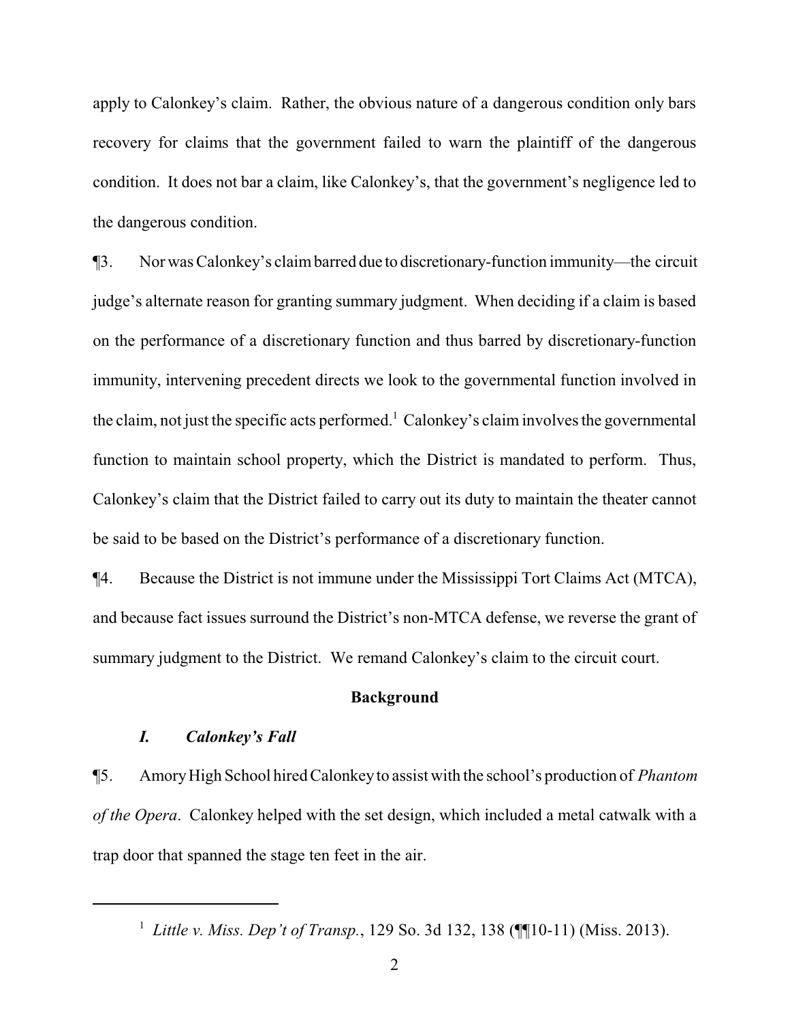apply to Calonkey's claim. Rather, the obvious nature of a dangerous condition only bars recovery for claims that the government failed to warn the plaintiff of the dangerous condition. It does not bar a claim, like Calonkey's, that the government's negligence led to the dangerous condition.

¶3. Nor was Calonkey's claimbarred due to discretionary-function immunity—the circuit judge's alternate reason for granting summary judgment. When deciding if a claim is based on the performance of a discretionary function and thus barred by discretionary-function immunity, intervening precedent directs we look to the governmental function involved in the claim, not just the specific acts performed.<sup>1</sup> Calonkey's claim involves the governmental function to maintain school property, which the District is mandated to perform. Thus, Calonkey's claim that the District failed to carry out its duty to maintain the theater cannot be said to be based on the District's performance of a discretionary function.

¶4. Because the District is not immune under the Mississippi Tort Claims Act (MTCA), and because fact issues surround the District's non-MTCA defense, we reverse the grant of summary judgment to the District. We remand Calonkey's claim to the circuit court.

#### **Background**

#### *I. Calonkey's Fall*

¶5. AmoryHigh School hired Calonkey to assist with the school's production of *Phantom of the Opera*. Calonkey helped with the set design, which included a metal catwalk with a trap door that spanned the stage ten feet in the air.

<sup>&</sup>lt;sup>1</sup> Little v. Miss. Dep't of Transp., 129 So. 3d 132, 138 (¶[10-11) (Miss. 2013).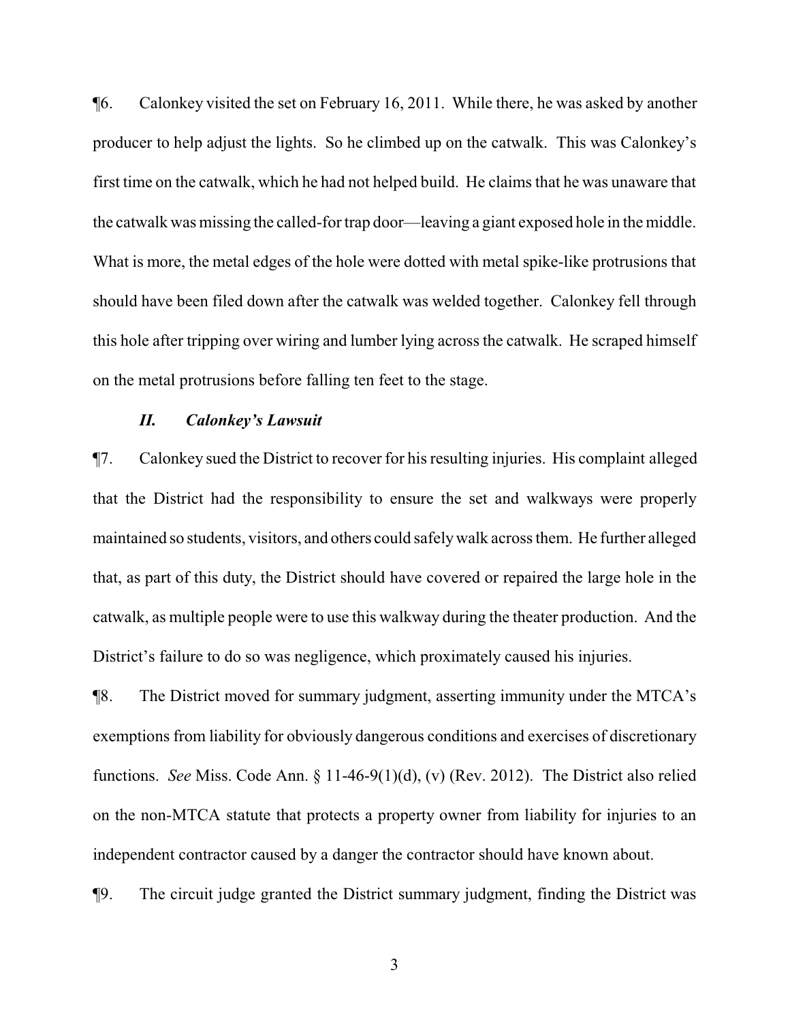¶6. Calonkey visited the set on February 16, 2011. While there, he was asked by another producer to help adjust the lights. So he climbed up on the catwalk. This was Calonkey's first time on the catwalk, which he had not helped build. He claims that he was unaware that the catwalk was missing the called-for trap door—leaving a giant exposed hole in the middle. What is more, the metal edges of the hole were dotted with metal spike-like protrusions that should have been filed down after the catwalk was welded together. Calonkey fell through this hole after tripping over wiring and lumber lying across the catwalk. He scraped himself on the metal protrusions before falling ten feet to the stage.

### *II. Calonkey's Lawsuit*

¶7. Calonkey sued the District to recover for his resulting injuries. His complaint alleged that the District had the responsibility to ensure the set and walkways were properly maintained so students, visitors, and others could safelywalk across them. He further alleged that, as part of this duty, the District should have covered or repaired the large hole in the catwalk, as multiple people were to use this walkway during the theater production. And the District's failure to do so was negligence, which proximately caused his injuries.

¶8. The District moved for summary judgment, asserting immunity under the MTCA's exemptions from liability for obviously dangerous conditions and exercises of discretionary functions. *See* Miss. Code Ann. § 11-46-9(1)(d), (v) (Rev. 2012). The District also relied on the non-MTCA statute that protects a property owner from liability for injuries to an independent contractor caused by a danger the contractor should have known about.

¶9. The circuit judge granted the District summary judgment, finding the District was

3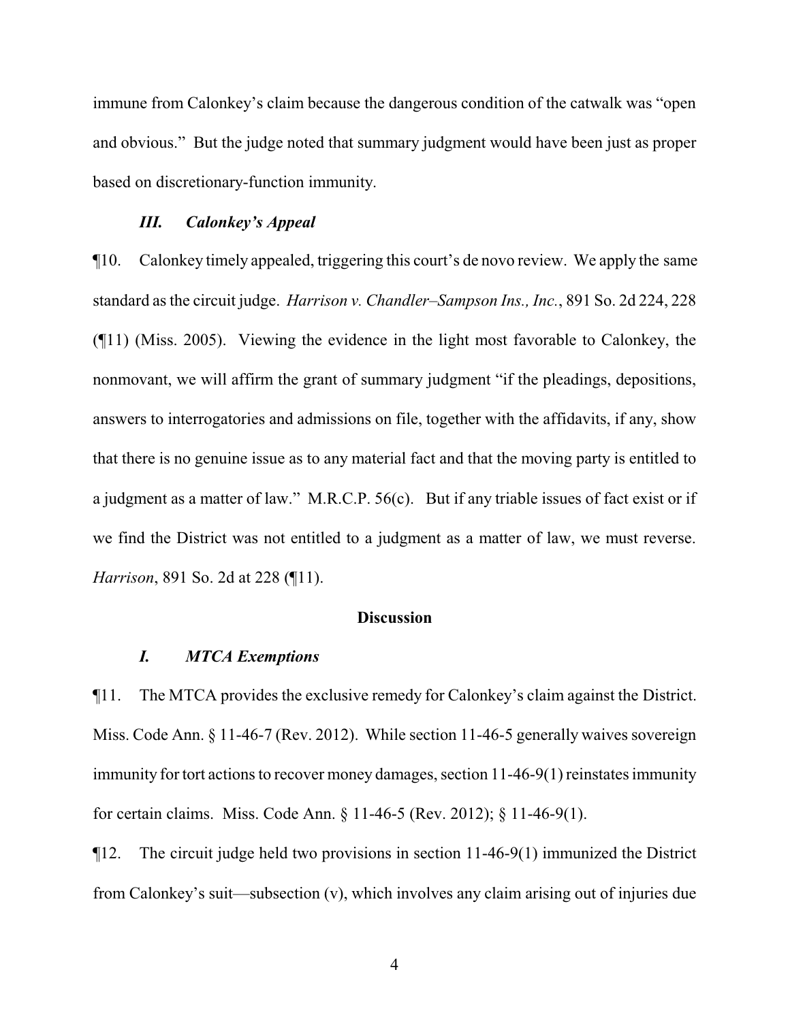immune from Calonkey's claim because the dangerous condition of the catwalk was "open and obvious." But the judge noted that summary judgment would have been just as proper based on discretionary-function immunity.

### *III. Calonkey's Appeal*

¶10. Calonkey timely appealed, triggering this court's de novo review. We apply the same standard as the circuit judge. *Harrison v. Chandler–Sampson Ins., Inc.*, 891 So. 2d 224, 228 (¶11) (Miss. 2005). Viewing the evidence in the light most favorable to Calonkey, the nonmovant, we will affirm the grant of summary judgment "if the pleadings, depositions, answers to interrogatories and admissions on file, together with the affidavits, if any, show that there is no genuine issue as to any material fact and that the moving party is entitled to a judgment as a matter of law." M.R.C.P. 56(c). But if any triable issues of fact exist or if we find the District was not entitled to a judgment as a matter of law, we must reverse. *Harrison*, 891 So. 2d at 228 (¶11).

### **Discussion**

#### *I. MTCA Exemptions*

¶11. The MTCA provides the exclusive remedy for Calonkey's claim against the District. Miss. Code Ann. § 11-46-7 (Rev. 2012). While section 11-46-5 generally waives sovereign immunity for tort actions to recover money damages, section 11-46-9(1) reinstates immunity for certain claims. Miss. Code Ann. § 11-46-5 (Rev. 2012); § 11-46-9(1).

¶12. The circuit judge held two provisions in section 11-46-9(1) immunized the District from Calonkey's suit—subsection (v), which involves any claim arising out of injuries due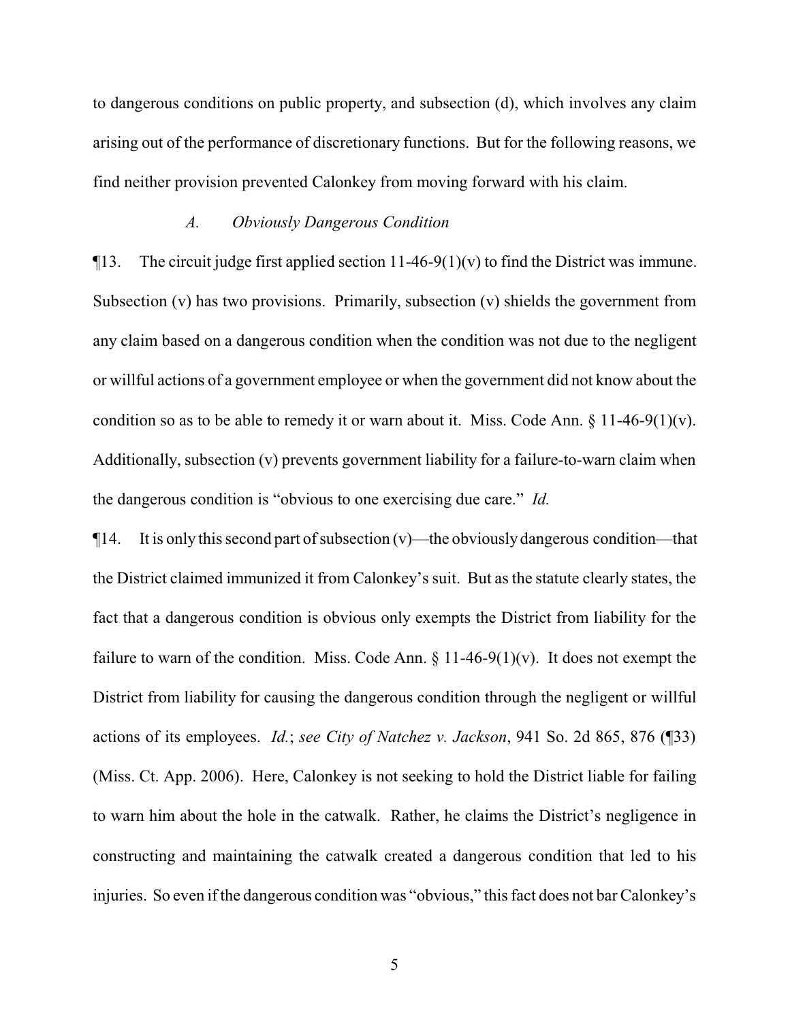to dangerous conditions on public property, and subsection (d), which involves any claim arising out of the performance of discretionary functions. But for the following reasons, we find neither provision prevented Calonkey from moving forward with his claim.

#### *A. Obviously Dangerous Condition*

 $\P$ 13. The circuit judge first applied section 11-46-9(1)(v) to find the District was immune. Subsection (v) has two provisions. Primarily, subsection (v) shields the government from any claim based on a dangerous condition when the condition was not due to the negligent or willful actions of a government employee or when the government did not know about the condition so as to be able to remedy it or warn about it. Miss. Code Ann.  $\S 11-46-9(1)(v)$ . Additionally, subsection (v) prevents government liability for a failure-to-warn claim when the dangerous condition is "obvious to one exercising due care." *Id.*

 $\P$ 14. It is only this second part of subsection (v)—the obviously dangerous condition—that the District claimed immunized it from Calonkey's suit. But as the statute clearly states, the fact that a dangerous condition is obvious only exempts the District from liability for the failure to warn of the condition. Miss. Code Ann.  $\S 11-46-9(1)(v)$ . It does not exempt the District from liability for causing the dangerous condition through the negligent or willful actions of its employees. *Id.*; *see City of Natchez v. Jackson*, 941 So. 2d 865, 876 (¶33) (Miss. Ct. App. 2006). Here, Calonkey is not seeking to hold the District liable for failing to warn him about the hole in the catwalk. Rather, he claims the District's negligence in constructing and maintaining the catwalk created a dangerous condition that led to his injuries. So even if the dangerous condition was "obvious," this fact does not bar Calonkey's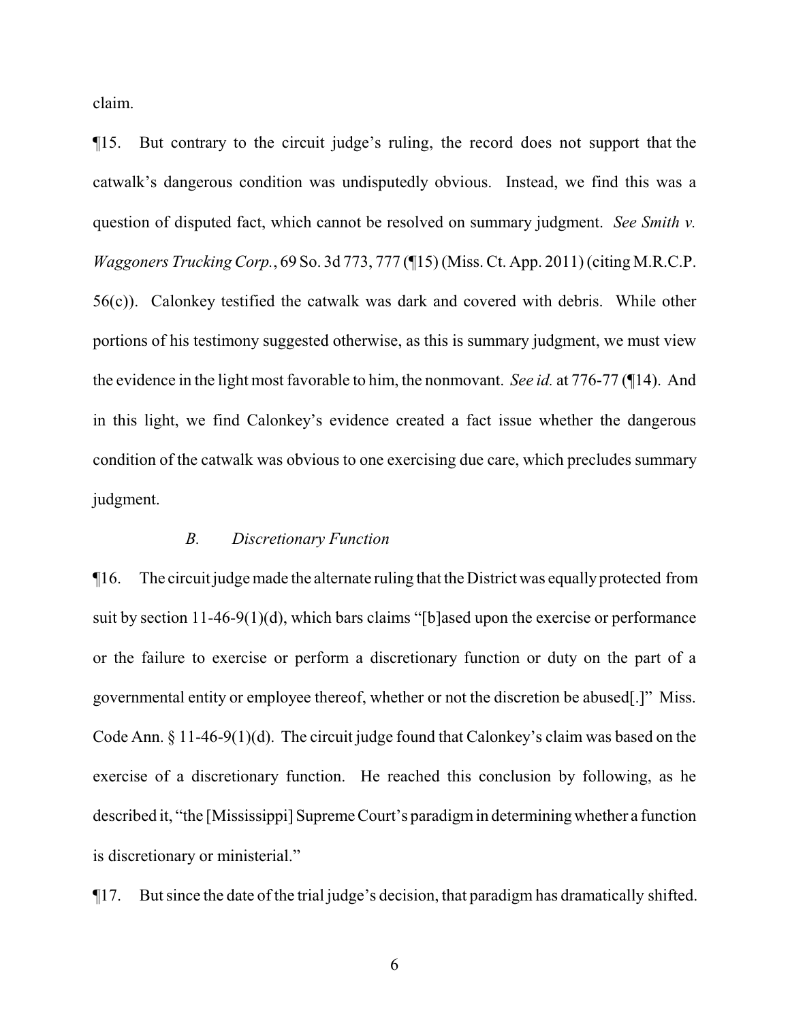claim.

¶15. But contrary to the circuit judge's ruling, the record does not support that the catwalk's dangerous condition was undisputedly obvious. Instead, we find this was a question of disputed fact, which cannot be resolved on summary judgment. *See Smith v. Waggoners Trucking Corp.*, 69 So. 3d 773, 777 (¶15) (Miss. Ct. App. 2011) (citing M.R.C.P. 56(c)). Calonkey testified the catwalk was dark and covered with debris. While other portions of his testimony suggested otherwise, as this is summary judgment, we must view the evidence in the light most favorable to him, the nonmovant. *See id.* at 776-77 (¶14). And in this light, we find Calonkey's evidence created a fact issue whether the dangerous condition of the catwalk was obvious to one exercising due care, which precludes summary judgment.

#### *B. Discretionary Function*

¶16. The circuit judge made the alternate ruling that the District was equallyprotected from suit by section 11-46-9(1)(d), which bars claims "[b]ased upon the exercise or performance or the failure to exercise or perform a discretionary function or duty on the part of a governmental entity or employee thereof, whether or not the discretion be abused[.]" Miss. Code Ann. § 11-46-9(1)(d). The circuit judge found that Calonkey's claim was based on the exercise of a discretionary function. He reached this conclusion by following, as he described it, "the [Mississippi] Supreme Court's paradigmin determining whether a function is discretionary or ministerial."

¶17. But since the date of the trial judge's decision, that paradigm has dramatically shifted.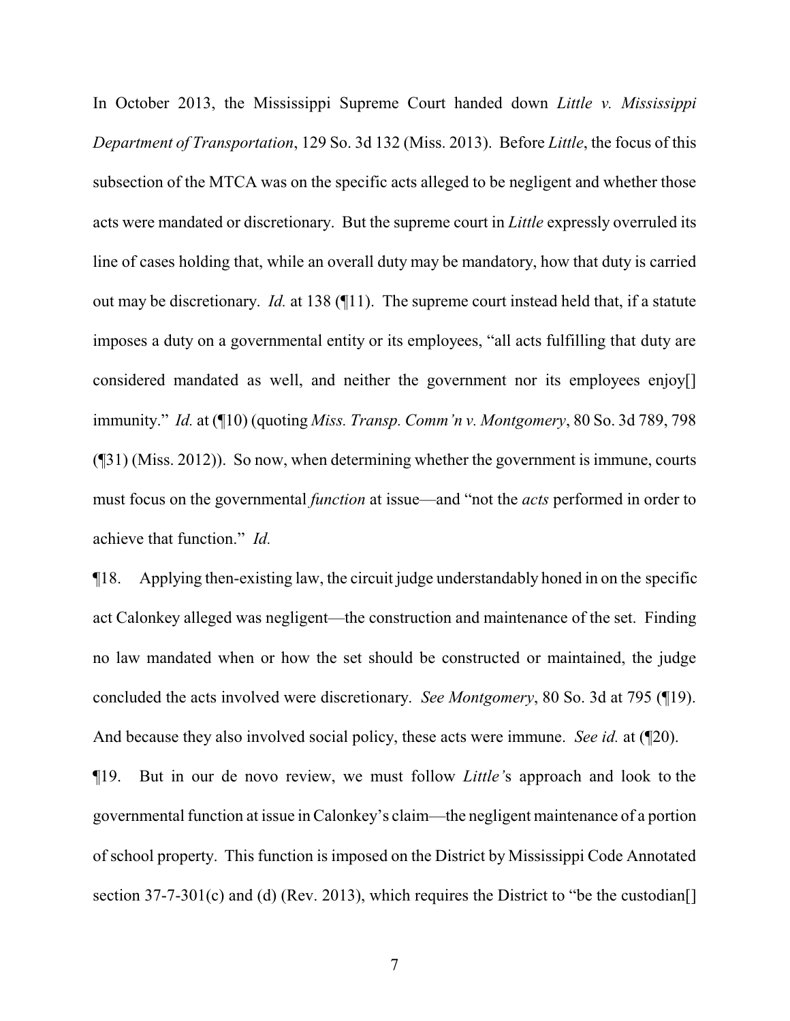In October 2013, the Mississippi Supreme Court handed down *Little v. Mississippi Department of Transportation*, 129 So. 3d 132 (Miss. 2013). Before *Little*, the focus of this subsection of the MTCA was on the specific acts alleged to be negligent and whether those acts were mandated or discretionary. But the supreme court in *Little* expressly overruled its line of cases holding that, while an overall duty may be mandatory, how that duty is carried out may be discretionary. *Id.* at 138 (¶11). The supreme court instead held that, if a statute imposes a duty on a governmental entity or its employees, "all acts fulfilling that duty are considered mandated as well, and neither the government nor its employees enjoy[] immunity." *Id.* at (¶10) (quoting *Miss. Transp. Comm'n v. Montgomery*, 80 So. 3d 789, 798 (¶31) (Miss. 2012)). So now, when determining whether the government is immune, courts must focus on the governmental *function* at issue—and "not the *acts* performed in order to achieve that function." *Id.* 

¶18. Applying then-existing law, the circuit judge understandably honed in on the specific act Calonkey alleged was negligent—the construction and maintenance of the set. Finding no law mandated when or how the set should be constructed or maintained, the judge concluded the acts involved were discretionary. *See Montgomery*, 80 So. 3d at 795 (¶19). And because they also involved social policy, these acts were immune. *See id.* at (¶20).

¶19. But in our de novo review, we must follow *Little'*s approach and look to the governmental function at issue in Calonkey's claim—the negligent maintenance of a portion of school property. This function is imposed on the District by Mississippi Code Annotated section 37-7-301(c) and (d) (Rev. 2013), which requires the District to "be the custodian<sup>[]</sup>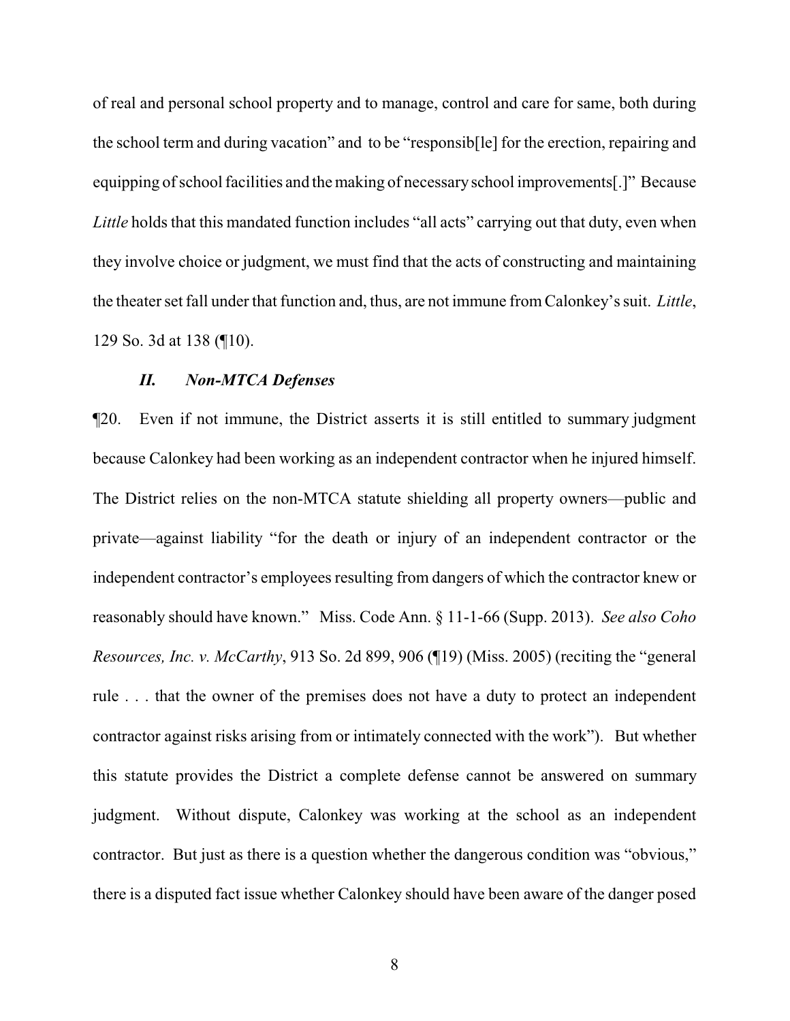of real and personal school property and to manage, control and care for same, both during the school term and during vacation" and to be "responsib[le] for the erection, repairing and equipping of school facilities and the making of necessary school improvements[.]" Because *Little* holds that this mandated function includes "all acts" carrying out that duty, even when they involve choice or judgment, we must find that the acts of constructing and maintaining the theater set fall under that function and, thus, are not immune from Calonkey's suit. *Little*, 129 So. 3d at 138 (¶10).

#### *II. Non-MTCA Defenses*

¶20. Even if not immune, the District asserts it is still entitled to summary judgment because Calonkey had been working as an independent contractor when he injured himself. The District relies on the non-MTCA statute shielding all property owners—public and private—against liability "for the death or injury of an independent contractor or the independent contractor's employees resulting from dangers of which the contractor knew or reasonably should have known." Miss. Code Ann. § 11-1-66 (Supp. 2013). *See also Coho Resources, Inc. v. McCarthy*, 913 So. 2d 899, 906 (¶19) (Miss. 2005) (reciting the "general rule . . . that the owner of the premises does not have a duty to protect an independent contractor against risks arising from or intimately connected with the work"). But whether this statute provides the District a complete defense cannot be answered on summary judgment. Without dispute, Calonkey was working at the school as an independent contractor. But just as there is a question whether the dangerous condition was "obvious," there is a disputed fact issue whether Calonkey should have been aware of the danger posed